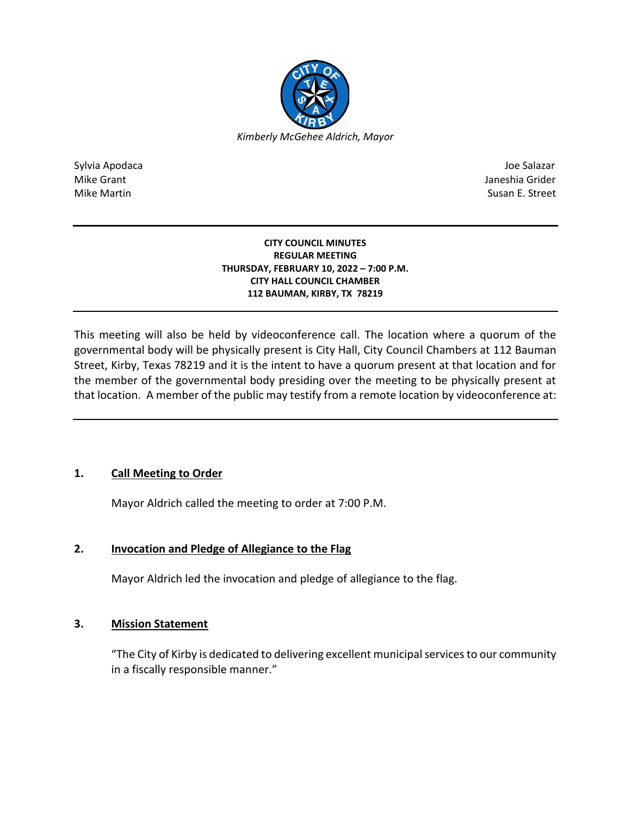

Sylvia Apodaca Joe Salazar Joe Salazar Joe Salazar Joe Salazar Joe Salazar Joe Salazar Joe Salazar Joe Salazar Mike Grant **Janeshia Grider** Mike Grant Janeshia Grider **Janeshia Grider** Mike Grant Janeshia Grider Mike Martin Susan E. Street

#### **CITY COUNCIL MINUTES REGULAR MEETING THURSDAY, FEBRUARY 10, 2022 – 7:00 P.M. CITY HALL COUNCIL CHAMBER 112 BAUMAN, KIRBY, TX 78219**

This meeting will also be held by videoconference call. The location where a quorum of the governmental body will be physically present is City Hall, City Council Chambers at 112 Bauman Street, Kirby, Texas 78219 and it is the intent to have a quorum present at that location and for the member of the governmental body presiding over the meeting to be physically present at that location. A member of the public may testify from a remote location by videoconference at:

# **1. Call Meeting to Order**

Mayor Aldrich called the meeting to order at 7:00 P.M.

# **2. Invocation and Pledge of Allegiance to the Flag**

Mayor Aldrich led the invocation and pledge of allegiance to the flag.

# **3. Mission Statement**

"The City of Kirby is dedicated to delivering excellent municipal services to our community in a fiscally responsible manner."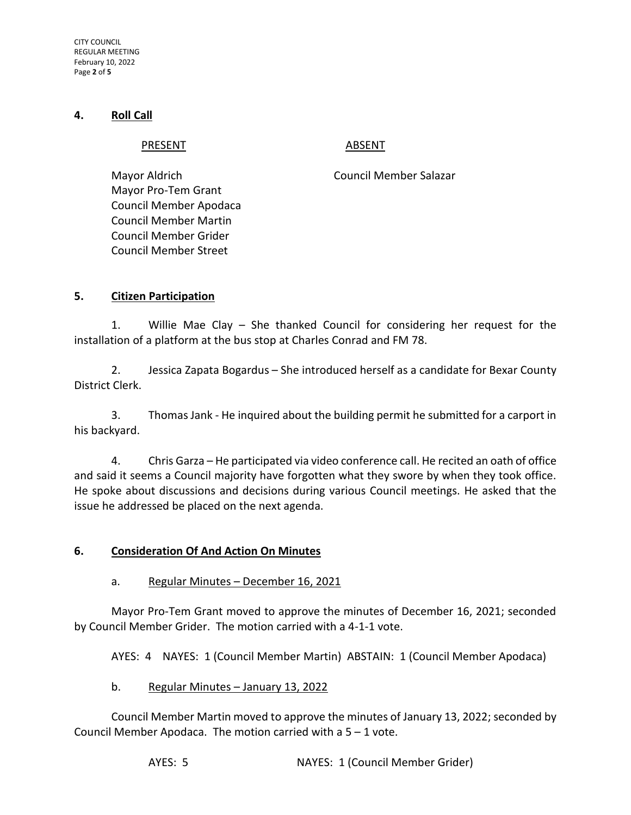CITY COUNCIL REGULAR MEETING February 10, 2022 Page **2** of **5**

#### **4. Roll Call**

#### PRESENT ABSENT

Mayor Aldrich Council Member Salazar Mayor Pro-Tem Grant Council Member Apodaca Council Member Martin Council Member Grider Council Member Street

## **5. Citizen Participation**

1. Willie Mae Clay – She thanked Council for considering her request for the installation of a platform at the bus stop at Charles Conrad and FM 78.

2. Jessica Zapata Bogardus – She introduced herself as a candidate for Bexar County District Clerk.

3. Thomas Jank - He inquired about the building permit he submitted for a carport in his backyard.

4. Chris Garza – He participated via video conference call. He recited an oath of office and said it seems a Council majority have forgotten what they swore by when they took office. He spoke about discussions and decisions during various Council meetings. He asked that the issue he addressed be placed on the next agenda.

## **6. Consideration Of And Action On Minutes**

## a. Regular Minutes – December 16, 2021

Mayor Pro-Tem Grant moved to approve the minutes of December 16, 2021; seconded by Council Member Grider. The motion carried with a 4-1-1 vote.

AYES: 4 NAYES: 1 (Council Member Martin) ABSTAIN: 1 (Council Member Apodaca)

## b. Regular Minutes – January 13, 2022

Council Member Martin moved to approve the minutes of January 13, 2022; seconded by Council Member Apodaca. The motion carried with a  $5 - 1$  vote.

AYES: 5 NAYES: 1 (Council Member Grider)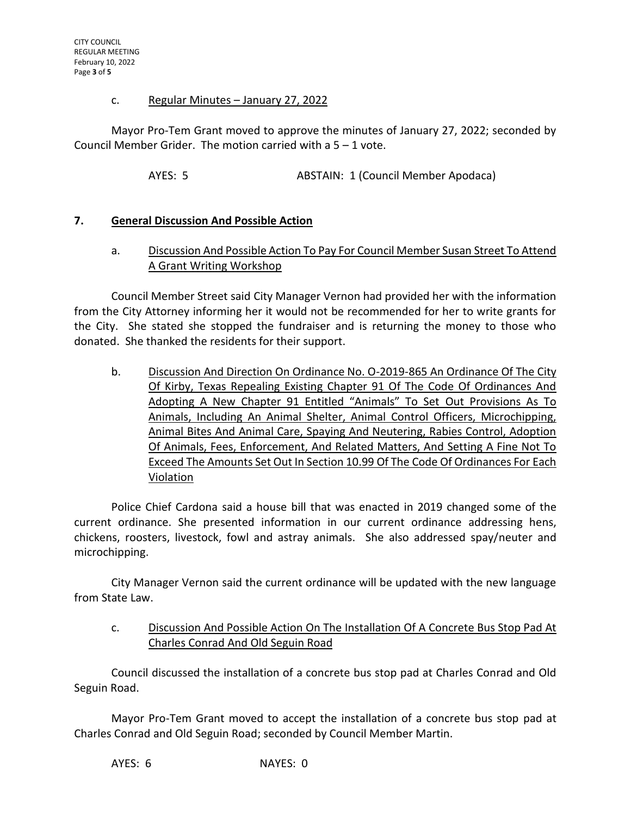#### c. Regular Minutes – January 27, 2022

Mayor Pro-Tem Grant moved to approve the minutes of January 27, 2022; seconded by Council Member Grider. The motion carried with a 5 – 1 vote.

AYES: 5 ABSTAIN: 1 (Council Member Apodaca)

## **7. General Discussion And Possible Action**

# a. Discussion And Possible Action To Pay For Council Member Susan Street To Attend A Grant Writing Workshop

Council Member Street said City Manager Vernon had provided her with the information from the City Attorney informing her it would not be recommended for her to write grants for the City. She stated she stopped the fundraiser and is returning the money to those who donated. She thanked the residents for their support.

b. Discussion And Direction On Ordinance No. O-2019-865 An Ordinance Of The City Of Kirby, Texas Repealing Existing Chapter 91 Of The Code Of Ordinances And Adopting A New Chapter 91 Entitled "Animals" To Set Out Provisions As To Animals, Including An Animal Shelter, Animal Control Officers, Microchipping, Animal Bites And Animal Care, Spaying And Neutering, Rabies Control, Adoption Of Animals, Fees, Enforcement, And Related Matters, And Setting A Fine Not To Exceed The Amounts Set Out In Section 10.99 Of The Code Of Ordinances For Each Violation

Police Chief Cardona said a house bill that was enacted in 2019 changed some of the current ordinance. She presented information in our current ordinance addressing hens, chickens, roosters, livestock, fowl and astray animals. She also addressed spay/neuter and microchipping.

City Manager Vernon said the current ordinance will be updated with the new language from State Law.

c. Discussion And Possible Action On The Installation Of A Concrete Bus Stop Pad At Charles Conrad And Old Seguin Road

Council discussed the installation of a concrete bus stop pad at Charles Conrad and Old Seguin Road.

Mayor Pro-Tem Grant moved to accept the installation of a concrete bus stop pad at Charles Conrad and Old Seguin Road; seconded by Council Member Martin.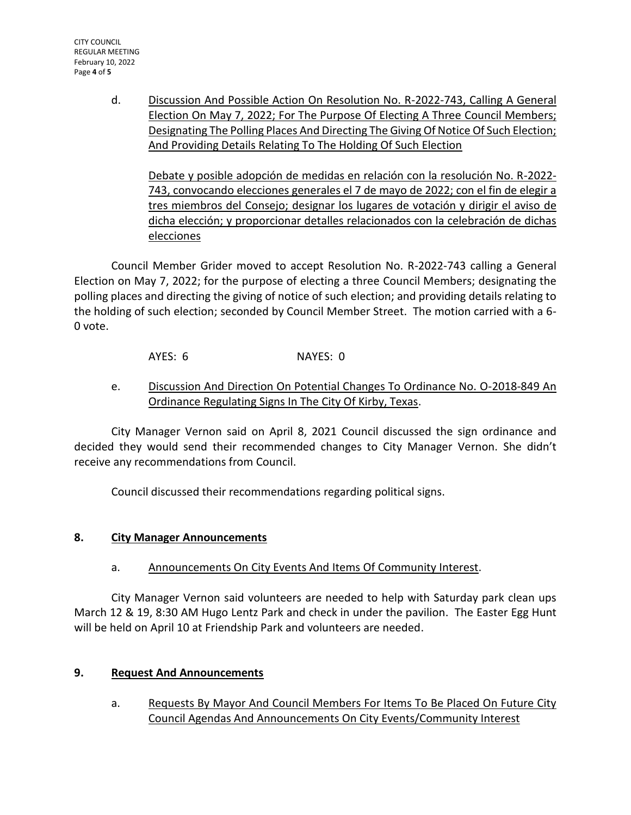CITY COUNCIL REGULAR MEETING February 10, 2022 Page **4** of **5**

> d. Discussion And Possible Action On Resolution No. R-2022-743, Calling A General Election On May 7, 2022; For The Purpose Of Electing A Three Council Members; Designating The Polling Places And Directing The Giving Of Notice Of Such Election; And Providing Details Relating To The Holding Of Such Election

Debate y posible adopción de medidas en relación con la resolución No. R-2022- 743, convocando elecciones generales el 7 de mayo de 2022; con el fin de elegir a tres miembros del Consejo; designar los lugares de votación y dirigir el aviso de dicha elección; y proporcionar detalles relacionados con la celebración de dichas elecciones

Council Member Grider moved to accept Resolution No. R-2022-743 calling a General Election on May 7, 2022; for the purpose of electing a three Council Members; designating the polling places and directing the giving of notice of such election; and providing details relating to the holding of such election; seconded by Council Member Street. The motion carried with a 6- 0 vote.

AYES: 6 NAYES: 0

e. Discussion And Direction On Potential Changes To Ordinance No. O-2018-849 An Ordinance Regulating Signs In The City Of Kirby, Texas.

City Manager Vernon said on April 8, 2021 Council discussed the sign ordinance and decided they would send their recommended changes to City Manager Vernon. She didn't receive any recommendations from Council.

Council discussed their recommendations regarding political signs.

# **8. City Manager Announcements**

a. Announcements On City Events And Items Of Community Interest.

City Manager Vernon said volunteers are needed to help with Saturday park clean ups March 12 & 19, 8:30 AM Hugo Lentz Park and check in under the pavilion. The Easter Egg Hunt will be held on April 10 at Friendship Park and volunteers are needed.

# **9. Request And Announcements**

a. Requests By Mayor And Council Members For Items To Be Placed On Future City Council Agendas And Announcements On City Events/Community Interest